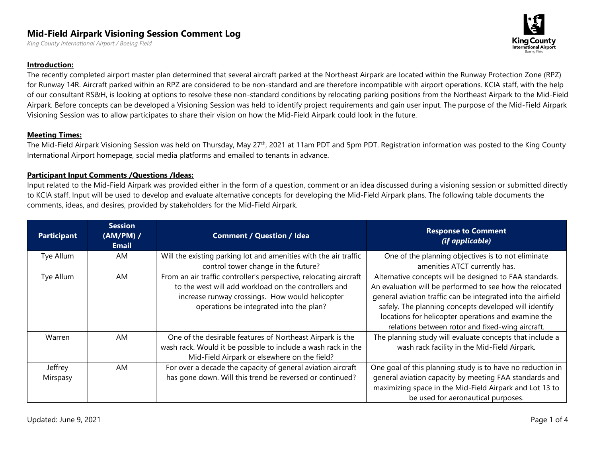## **Mid-Field Airpark Visioning Session Comment Log**

*King County International Airport / Boeing Field* 

## **Introduction:**

The recently completed airport master plan determined that several aircraft parked at the Northeast Airpark are located within the Runway Protection Zone (RPZ) for Runway 14R. Aircraft parked within an RPZ are considered to be non-standard and are therefore incompatible with airport operations. KCIA staff, with the help of our consultant RS&H, is looking at options to resolve these non-standard conditions by relocating parking positions from the Northeast Airpark to the Mid-Field Airpark. Before concepts can be developed a Visioning Session was held to identify project requirements and gain user input. The purpose of the Mid-Field Airpark Visioning Session was to allow participates to share their vision on how the Mid-Field Airpark could look in the future.

## **Meeting Times:**

The Mid-Field Airpark Visioning Session was held on Thursday, May 27<sup>th</sup>, 2021 at 11am PDT and 5pm PDT. Registration information was posted to the King County International Airport homepage, social media platforms and emailed to tenants in advance.

## **Participant Input Comments /Questions /Ideas:**

Input related to the Mid-Field Airpark was provided either in the form of a question, comment or an idea discussed during a visioning session or submitted directly to KCIA staff. Input will be used to develop and evaluate alternative concepts for developing the Mid-Field Airpark plans. The following table documents the comments, ideas, and desires, provided by stakeholders for the Mid-Field Airpark.

| <b>Participant</b>  | <b>Session</b><br>$(AM/PM)$ /<br><b>Email</b> | <b>Comment / Question / Idea</b>                                                                                                                                                                                        | <b>Response to Comment</b><br>(if applicable)                                                                                                                                                                                                                                                                                                           |
|---------------------|-----------------------------------------------|-------------------------------------------------------------------------------------------------------------------------------------------------------------------------------------------------------------------------|---------------------------------------------------------------------------------------------------------------------------------------------------------------------------------------------------------------------------------------------------------------------------------------------------------------------------------------------------------|
| Tye Allum           | AM                                            | Will the existing parking lot and amenities with the air traffic<br>control tower change in the future?                                                                                                                 | One of the planning objectives is to not eliminate<br>amenities ATCT currently has.                                                                                                                                                                                                                                                                     |
| Tye Allum           | AM                                            | From an air traffic controller's perspective, relocating aircraft<br>to the west will add workload on the controllers and<br>increase runway crossings. How would helicopter<br>operations be integrated into the plan? | Alternative concepts will be designed to FAA standards.<br>An evaluation will be performed to see how the relocated<br>general aviation traffic can be integrated into the airfield<br>safely. The planning concepts developed will identify<br>locations for helicopter operations and examine the<br>relations between rotor and fixed-wing aircraft. |
| Warren              | AM                                            | One of the desirable features of Northeast Airpark is the<br>wash rack. Would it be possible to include a wash rack in the<br>Mid-Field Airpark or elsewhere on the field?                                              | The planning study will evaluate concepts that include a<br>wash rack facility in the Mid-Field Airpark.                                                                                                                                                                                                                                                |
| Jeffrey<br>Mirspasy | AM                                            | For over a decade the capacity of general aviation aircraft<br>has gone down. Will this trend be reversed or continued?                                                                                                 | One goal of this planning study is to have no reduction in<br>general aviation capacity by meeting FAA standards and<br>maximizing space in the Mid-Field Airpark and Lot 13 to<br>be used for aeronautical purposes.                                                                                                                                   |

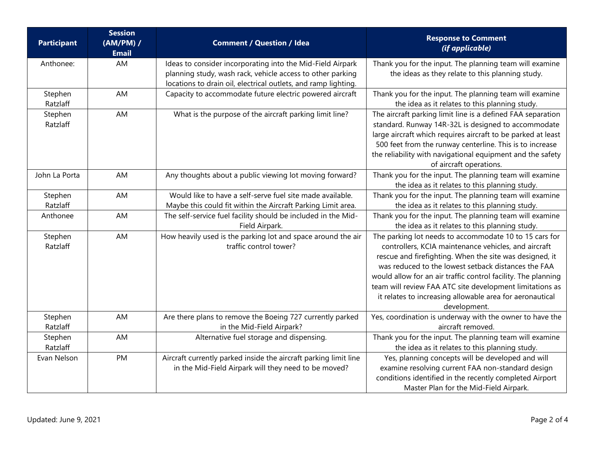| <b>Participant</b>  | <b>Session</b><br>(AM/PM) /<br><b>Email</b> | <b>Comment / Question / Idea</b>                                                                                                                                                           | <b>Response to Comment</b><br>(if applicable)                                                                                                                                                                                                                                                                                                                                                                                             |
|---------------------|---------------------------------------------|--------------------------------------------------------------------------------------------------------------------------------------------------------------------------------------------|-------------------------------------------------------------------------------------------------------------------------------------------------------------------------------------------------------------------------------------------------------------------------------------------------------------------------------------------------------------------------------------------------------------------------------------------|
| Anthonee:           | AM                                          | Ideas to consider incorporating into the Mid-Field Airpark<br>planning study, wash rack, vehicle access to other parking<br>locations to drain oil, electrical outlets, and ramp lighting. | Thank you for the input. The planning team will examine<br>the ideas as they relate to this planning study.                                                                                                                                                                                                                                                                                                                               |
| Stephen<br>Ratzlaff | AM                                          | Capacity to accommodate future electric powered aircraft                                                                                                                                   | Thank you for the input. The planning team will examine<br>the idea as it relates to this planning study.                                                                                                                                                                                                                                                                                                                                 |
| Stephen<br>Ratzlaff | AM                                          | What is the purpose of the aircraft parking limit line?                                                                                                                                    | The aircraft parking limit line is a defined FAA separation<br>standard. Runway 14R-32L is designed to accommodate<br>large aircraft which requires aircraft to be parked at least<br>500 feet from the runway centerline. This is to increase<br>the reliability with navigational equipment and the safety<br>of aircraft operations.                                                                                                   |
| John La Porta       | AM                                          | Any thoughts about a public viewing lot moving forward?                                                                                                                                    | Thank you for the input. The planning team will examine<br>the idea as it relates to this planning study.                                                                                                                                                                                                                                                                                                                                 |
| Stephen<br>Ratzlaff | AM                                          | Would like to have a self-serve fuel site made available.<br>Maybe this could fit within the Aircraft Parking Limit area.                                                                  | Thank you for the input. The planning team will examine<br>the idea as it relates to this planning study.                                                                                                                                                                                                                                                                                                                                 |
| Anthonee            | AM                                          | The self-service fuel facility should be included in the Mid-<br>Field Airpark.                                                                                                            | Thank you for the input. The planning team will examine<br>the idea as it relates to this planning study.                                                                                                                                                                                                                                                                                                                                 |
| Stephen<br>Ratzlaff | AM                                          | How heavily used is the parking lot and space around the air<br>traffic control tower?                                                                                                     | The parking lot needs to accommodate 10 to 15 cars for<br>controllers, KCIA maintenance vehicles, and aircraft<br>rescue and firefighting. When the site was designed, it<br>was reduced to the lowest setback distances the FAA<br>would allow for an air traffic control facility. The planning<br>team will review FAA ATC site development limitations as<br>it relates to increasing allowable area for aeronautical<br>development. |
| Stephen<br>Ratzlaff | AM                                          | Are there plans to remove the Boeing 727 currently parked<br>in the Mid-Field Airpark?                                                                                                     | Yes, coordination is underway with the owner to have the<br>aircraft removed.                                                                                                                                                                                                                                                                                                                                                             |
| Stephen<br>Ratzlaff | AM                                          | Alternative fuel storage and dispensing.                                                                                                                                                   | Thank you for the input. The planning team will examine<br>the idea as it relates to this planning study.                                                                                                                                                                                                                                                                                                                                 |
| Evan Nelson         | PM                                          | Aircraft currently parked inside the aircraft parking limit line<br>in the Mid-Field Airpark will they need to be moved?                                                                   | Yes, planning concepts will be developed and will<br>examine resolving current FAA non-standard design<br>conditions identified in the recently completed Airport<br>Master Plan for the Mid-Field Airpark.                                                                                                                                                                                                                               |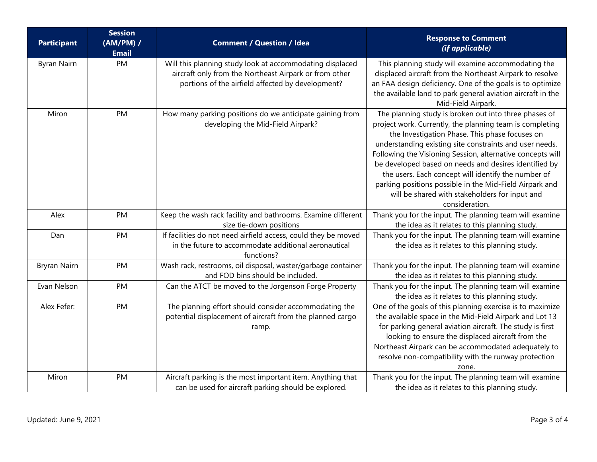| <b>Participant</b>  | <b>Session</b><br>(AM/PM) /<br><b>Email</b> | <b>Comment / Question / Idea</b>                                                                                                                                        | <b>Response to Comment</b><br>(if applicable)                                                                                                                                                                                                                                                                                                                                                                                                                                                                                               |
|---------------------|---------------------------------------------|-------------------------------------------------------------------------------------------------------------------------------------------------------------------------|---------------------------------------------------------------------------------------------------------------------------------------------------------------------------------------------------------------------------------------------------------------------------------------------------------------------------------------------------------------------------------------------------------------------------------------------------------------------------------------------------------------------------------------------|
| <b>Byran Nairn</b>  | PM                                          | Will this planning study look at accommodating displaced<br>aircraft only from the Northeast Airpark or from other<br>portions of the airfield affected by development? | This planning study will examine accommodating the<br>displaced aircraft from the Northeast Airpark to resolve<br>an FAA design deficiency. One of the goals is to optimize<br>the available land to park general aviation aircraft in the<br>Mid-Field Airpark.                                                                                                                                                                                                                                                                            |
| Miron               | PM                                          | How many parking positions do we anticipate gaining from<br>developing the Mid-Field Airpark?                                                                           | The planning study is broken out into three phases of<br>project work. Currently, the planning team is completing<br>the Investigation Phase. This phase focuses on<br>understanding existing site constraints and user needs.<br>Following the Visioning Session, alternative concepts will<br>be developed based on needs and desires identified by<br>the users. Each concept will identify the number of<br>parking positions possible in the Mid-Field Airpark and<br>will be shared with stakeholders for input and<br>consideration. |
| Alex                | PM                                          | Keep the wash rack facility and bathrooms. Examine different<br>size tie-down positions                                                                                 | Thank you for the input. The planning team will examine<br>the idea as it relates to this planning study.                                                                                                                                                                                                                                                                                                                                                                                                                                   |
| Dan                 | PM                                          | If facilities do not need airfield access, could they be moved<br>in the future to accommodate additional aeronautical<br>functions?                                    | Thank you for the input. The planning team will examine<br>the idea as it relates to this planning study.                                                                                                                                                                                                                                                                                                                                                                                                                                   |
| <b>Bryran Nairn</b> | PM                                          | Wash rack, restrooms, oil disposal, waster/garbage container<br>and FOD bins should be included.                                                                        | Thank you for the input. The planning team will examine<br>the idea as it relates to this planning study.                                                                                                                                                                                                                                                                                                                                                                                                                                   |
| Evan Nelson         | PM                                          | Can the ATCT be moved to the Jorgenson Forge Property                                                                                                                   | Thank you for the input. The planning team will examine<br>the idea as it relates to this planning study.                                                                                                                                                                                                                                                                                                                                                                                                                                   |
| Alex Fefer:         | PM                                          | The planning effort should consider accommodating the<br>potential displacement of aircraft from the planned cargo<br>ramp.                                             | One of the goals of this planning exercise is to maximize<br>the available space in the Mid-Field Airpark and Lot 13<br>for parking general aviation aircraft. The study is first<br>looking to ensure the displaced aircraft from the<br>Northeast Airpark can be accommodated adequately to<br>resolve non-compatibility with the runway protection<br>zone.                                                                                                                                                                              |
| Miron               | PM                                          | Aircraft parking is the most important item. Anything that<br>can be used for aircraft parking should be explored.                                                      | Thank you for the input. The planning team will examine<br>the idea as it relates to this planning study.                                                                                                                                                                                                                                                                                                                                                                                                                                   |